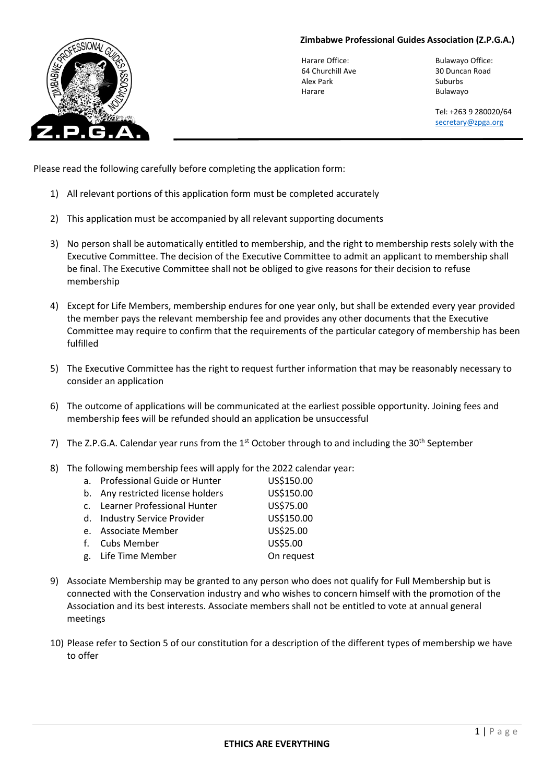## **Zimbabwe Professional Guides Association (Z.P.G.A.)**



Harare Office: Bulawayo Office: 64 Churchill Ave 30 Duncan Road Alex Park Suburbs Harare **Bulawayo** 

Tel: +263 9 280020/64 [secretary@zpga.org](mailto:secretary@zpga.org)

Please read the following carefully before completing the application form:

- 1) All relevant portions of this application form must be completed accurately
- 2) This application must be accompanied by all relevant supporting documents
- 3) No person shall be automatically entitled to membership, and the right to membership rests solely with the Executive Committee. The decision of the Executive Committee to admit an applicant to membership shall be final. The Executive Committee shall not be obliged to give reasons for their decision to refuse membership
- 4) Except for Life Members, membership endures for one year only, but shall be extended every year provided the member pays the relevant membership fee and provides any other documents that the Executive Committee may require to confirm that the requirements of the particular category of membership has been fulfilled
- 5) The Executive Committee has the right to request further information that may be reasonably necessary to consider an application
- 6) The outcome of applications will be communicated at the earliest possible opportunity. Joining fees and membership fees will be refunded should an application be unsuccessful
- 7) The Z.P.G.A. Calendar year runs from the  $1<sup>st</sup>$  October through to and including the 30<sup>th</sup> September
- 8) The following membership fees will apply for the 2022 calendar year:

| a. Professional Guide or Hunter   | US\$150.00 |
|-----------------------------------|------------|
| b. Any restricted license holders | US\$150.00 |
| c. Learner Professional Hunter    | US\$75.00  |
| d. Industry Service Provider      | US\$150.00 |
| e. Associate Member               | US\$25.00  |
| f. Cubs Member                    | US\$5.00   |
| g. Life Time Member               | On request |
|                                   |            |

- 9) Associate Membership may be granted to any person who does not qualify for Full Membership but is connected with the Conservation industry and who wishes to concern himself with the promotion of the Association and its best interests. Associate members shall not be entitled to vote at annual general meetings
- 10) Please refer to Section 5 of our constitution for a description of the different types of membership we have to offer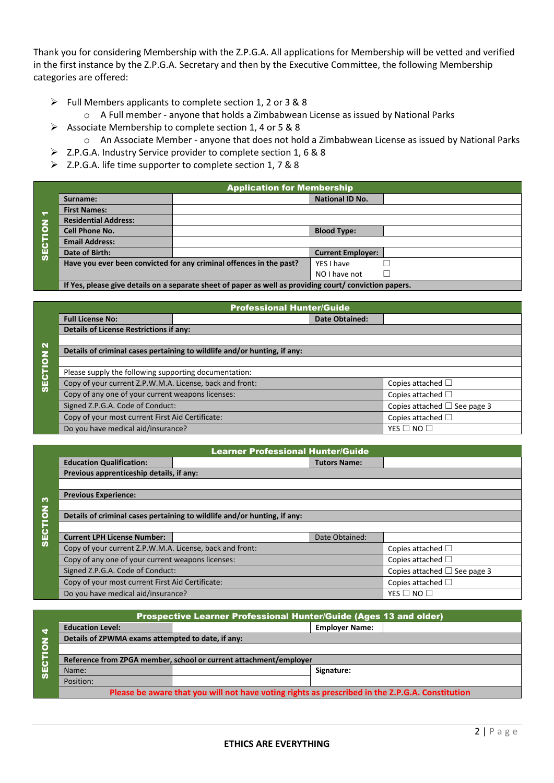Thank you for considering Membership with the Z.P.G.A. All applications for Membership will be vetted and verified in the first instance by the Z.P.G.A. Secretary and then by the Executive Committee, the following Membership categories are offered:

- ➢ Full Members applicants to complete section 1, 2 or 3 & 8
	- o A Full member anyone that holds a Zimbabwean License as issued by National Parks
- ➢ Associate Membership to complete section 1, 4 or 5 & 8
	- o An Associate Member anyone that does not hold a Zimbabwean License as issued by National Parks
- ➢ Z.P.G.A. Industry Service provider to complete section 1, 6 & 8
- ➢ Z.P.G.A. life time supporter to complete section 1, 7 & 8

|                      | <b>Application for Membership</b>                                                                     |                                                                     |                          |  |  |  |
|----------------------|-------------------------------------------------------------------------------------------------------|---------------------------------------------------------------------|--------------------------|--|--|--|
|                      | Surname:                                                                                              |                                                                     | <b>National ID No.</b>   |  |  |  |
| $\blacktriangledown$ | <b>First Names:</b>                                                                                   |                                                                     |                          |  |  |  |
|                      | <b>Residential Address:</b>                                                                           |                                                                     |                          |  |  |  |
| $\overline{6}$       | Cell Phone No.                                                                                        |                                                                     | <b>Blood Type:</b>       |  |  |  |
| 5                    | <b>Email Address:</b>                                                                                 |                                                                     |                          |  |  |  |
| $\overline{9}$       | Date of Birth:                                                                                        |                                                                     | <b>Current Employer:</b> |  |  |  |
|                      |                                                                                                       | Have you ever been convicted for any criminal offences in the past? | YES I have               |  |  |  |
|                      |                                                                                                       |                                                                     | NO I have not            |  |  |  |
|                      | If you places sive details an a senarate shoot of nanor as well as nroviding sourt Leonviction nanors |                                                                     |                          |  |  |  |

**If Yes, please give details on a separate sheet of paper as well as providing court/ conviction papers.** 

|               | <b>Professional Hunter/Guide</b>                         |                                                                          |                                   |                        |  |  |
|---------------|----------------------------------------------------------|--------------------------------------------------------------------------|-----------------------------------|------------------------|--|--|
|               | <b>Full License No:</b>                                  |                                                                          | <b>Date Obtained:</b>             |                        |  |  |
|               | <b>Details of License Restrictions if any:</b>           |                                                                          |                                   |                        |  |  |
| $\mathbf{N}$  |                                                          |                                                                          |                                   |                        |  |  |
|               |                                                          | Details of criminal cases pertaining to wildlife and/or hunting, if any: |                                   |                        |  |  |
| $\frac{z}{2}$ |                                                          |                                                                          |                                   |                        |  |  |
|               | Please supply the following supporting documentation:    |                                                                          |                                   |                        |  |  |
| <b>SECTI</b>  | Copy of your current Z.P.W.M.A. License, back and front: |                                                                          | Copies attached $\Box$            |                        |  |  |
|               | Copy of any one of your current weapons licenses:        |                                                                          | Copies attached $\Box$            |                        |  |  |
|               | Signed Z.P.G.A. Code of Conduct:                         |                                                                          | Copies attached $\Box$ See page 3 |                        |  |  |
|               | Copy of your most current First Aid Certificate:         |                                                                          |                                   | Copies attached $\Box$ |  |  |
|               | Do you have medical aid/insurance?                       |                                                                          |                                   | YES $\Box$ NO $\Box$   |  |  |

|                | <b>Learner Professional Hunter/Guide</b>                                 |  |                                   |                        |  |
|----------------|--------------------------------------------------------------------------|--|-----------------------------------|------------------------|--|
|                | <b>Education Qualification:</b>                                          |  | <b>Tutors Name:</b>               |                        |  |
|                | Previous apprenticeship details, if any:                                 |  |                                   |                        |  |
|                |                                                                          |  |                                   |                        |  |
| <b>m</b>       | <b>Previous Experience:</b>                                              |  |                                   |                        |  |
|                |                                                                          |  |                                   |                        |  |
| <b>SECTION</b> | Details of criminal cases pertaining to wildlife and/or hunting, if any: |  |                                   |                        |  |
|                |                                                                          |  |                                   |                        |  |
|                | <b>Current LPH License Number:</b>                                       |  | Date Obtained:                    |                        |  |
|                | Copy of your current Z.P.W.M.A. License, back and front:                 |  |                                   | Copies attached $\Box$ |  |
|                | Copy of any one of your current weapons licenses:                        |  |                                   | Copies attached $\Box$ |  |
|                | Signed Z.P.G.A. Code of Conduct:                                         |  | Copies attached $\Box$ See page 3 |                        |  |
|                | Copy of your most current First Aid Certificate:                         |  |                                   | Copies attached $\Box$ |  |
|                | Do you have medical aid/insurance?                                       |  |                                   | YES $\Box$ NO $\Box$   |  |

|                      | Prospective Learner Professional Hunter/Guide (Ages 13 and older)                               |                       |  |
|----------------------|-------------------------------------------------------------------------------------------------|-----------------------|--|
| 4                    | <b>Education Level:</b>                                                                         | <b>Employer Name:</b> |  |
| $\mathbf{z}$         | Details of ZPWMA exams attempted to date, if any:                                               |                       |  |
| $\overline{\bullet}$ |                                                                                                 |                       |  |
|                      | Reference from ZPGA member, school or current attachment/employer                               |                       |  |
| <b>SEC</b>           | Name:                                                                                           | Signature:            |  |
|                      | Position:                                                                                       |                       |  |
|                      | Please be aware that you will not have voting rights as prescribed in the Z.P.G.A. Constitution |                       |  |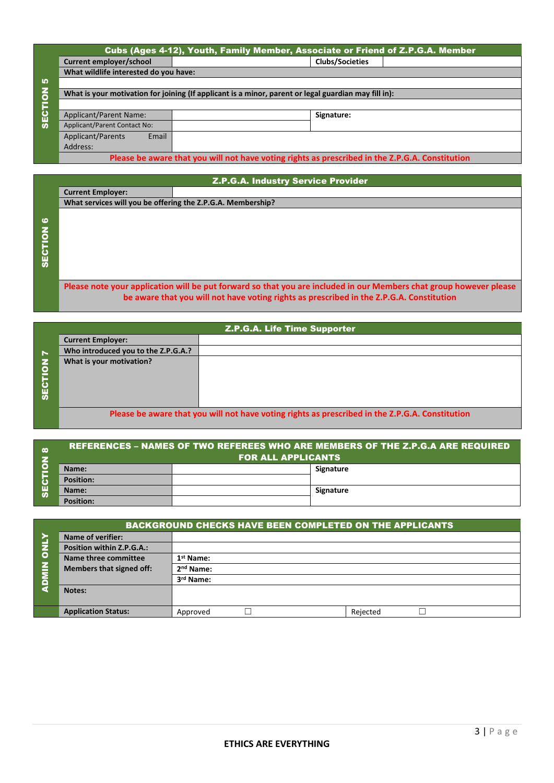|                                                                                                 | Cubs (Ages 4-12), Youth, Family Member, Associate or Friend of Z.P.G.A. Member                       |  |                        |  |  |
|-------------------------------------------------------------------------------------------------|------------------------------------------------------------------------------------------------------|--|------------------------|--|--|
|                                                                                                 | Current employer/school                                                                              |  | <b>Clubs/Societies</b> |  |  |
|                                                                                                 | What wildlife interested do you have:                                                                |  |                        |  |  |
| <u> ທ</u>                                                                                       |                                                                                                      |  |                        |  |  |
| $\bullet$                                                                                       | What is your motivation for joining (If applicant is a minor, parent or legal guardian may fill in): |  |                        |  |  |
| <b>SECTI</b>                                                                                    |                                                                                                      |  |                        |  |  |
|                                                                                                 | Applicant/Parent Name:                                                                               |  | Signature:             |  |  |
|                                                                                                 | Applicant/Parent Contact No:                                                                         |  |                        |  |  |
|                                                                                                 | Email<br>Applicant/Parents                                                                           |  |                        |  |  |
|                                                                                                 | Address:                                                                                             |  |                        |  |  |
| Please be aware that you will not have voting rights as prescribed in the Z.P.G.A. Constitution |                                                                                                      |  |                        |  |  |

|         | <b>Z.P.G.A. Industry Service Provider</b>                   |                                                                                                                    |  |  |  |
|---------|-------------------------------------------------------------|--------------------------------------------------------------------------------------------------------------------|--|--|--|
|         | <b>Current Employer:</b>                                    |                                                                                                                    |  |  |  |
|         | What services will you be offering the Z.P.G.A. Membership? |                                                                                                                    |  |  |  |
|         |                                                             |                                                                                                                    |  |  |  |
| ဖ       |                                                             |                                                                                                                    |  |  |  |
| SECTION |                                                             |                                                                                                                    |  |  |  |
|         |                                                             |                                                                                                                    |  |  |  |
|         |                                                             |                                                                                                                    |  |  |  |
|         |                                                             |                                                                                                                    |  |  |  |
|         |                                                             |                                                                                                                    |  |  |  |
|         |                                                             | Please note your application will be put forward so that you are included in our Members chat group however please |  |  |  |
|         |                                                             | be aware that you will not have voting rights as prescribed in the Z.P.G.A. Constitution                           |  |  |  |

SECTION 7Z.P.G.A. Life Time Supporter **Current Employer: Who introduced you to the Z.P.G.A.? What is your motivation? Please be aware that you will not have voting rights as prescribed in the Z.P.G.A. Constitution**

| œ | <b>REFERENCES – NAMES OF TWO REFEREES WHO ARE MEMBERS OF THE Z.P.G.A ARE REQUIRED</b><br><b>FOR ALL APPLICANTS</b> |  |           |
|---|--------------------------------------------------------------------------------------------------------------------|--|-----------|
| ш | Name:                                                                                                              |  | Signature |
|   | <b>Position:</b>                                                                                                   |  |           |
|   | Name:                                                                                                              |  | Signature |
| ഗ | <b>Position:</b>                                                                                                   |  |           |

|                         | <b>BACKGROUND CHECKS HAVE BEEN COMPLETED ON THE APPLICANTS</b> |                       |  |  |  |
|-------------------------|----------------------------------------------------------------|-----------------------|--|--|--|
|                         | <b>Name of verifier:</b>                                       |                       |  |  |  |
| z                       | Position within Z.P.G.A.:                                      |                       |  |  |  |
| $\overline{\mathbf{o}}$ | Name three committee                                           | 1 <sup>st</sup> Name: |  |  |  |
| Е<br>ō                  | <b>Members that signed off:</b>                                | 2 <sup>nd</sup> Name: |  |  |  |
|                         |                                                                | 3rd Name:             |  |  |  |
|                         | Notes:                                                         |                       |  |  |  |
|                         |                                                                |                       |  |  |  |
|                         | <b>Application Status:</b>                                     | Rejected<br>Approved  |  |  |  |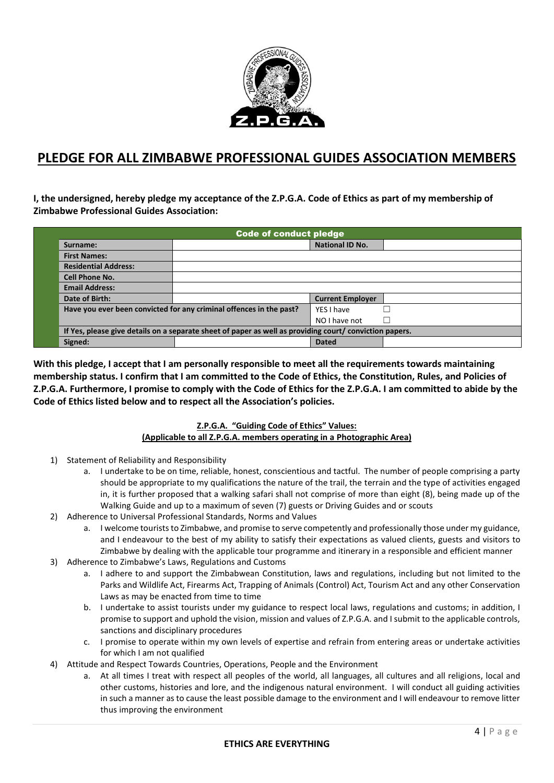

## **PLEDGE FOR ALL ZIMBABWE PROFESSIONAL GUIDES ASSOCIATION MEMBERS**

**I, the undersigned, hereby pledge my acceptance of the Z.P.G.A. Code of Ethics as part of my membership of Zimbabwe Professional Guides Association:** 

| <b>Code of conduct pledge</b> |                                                                                                         |                         |  |  |
|-------------------------------|---------------------------------------------------------------------------------------------------------|-------------------------|--|--|
| Surname:                      |                                                                                                         | <b>National ID No.</b>  |  |  |
| <b>First Names:</b>           |                                                                                                         |                         |  |  |
| <b>Residential Address:</b>   |                                                                                                         |                         |  |  |
| <b>Cell Phone No.</b>         |                                                                                                         |                         |  |  |
| <b>Email Address:</b>         |                                                                                                         |                         |  |  |
| Date of Birth:                |                                                                                                         | <b>Current Employer</b> |  |  |
|                               | Have you ever been convicted for any criminal offences in the past?                                     | YES I have              |  |  |
|                               |                                                                                                         | NO I have not           |  |  |
|                               | If Yes, please give details on a separate sheet of paper as well as providing court/ conviction papers. |                         |  |  |
| Signed:                       |                                                                                                         | <b>Dated</b>            |  |  |

**With this pledge, I accept that I am personally responsible to meet all the requirements towards maintaining membership status. I confirm that I am committed to the Code of Ethics, the Constitution, Rules, and Policies of Z.P.G.A. Furthermore, I promise to comply with the Code of Ethics for the Z.P.G.A. I am committed to abide by the Code of Ethics listed below and to respect all the Association's policies.** 

## **Z.P.G.A. "Guiding Code of Ethics" Values: (Applicable to all Z.P.G.A. members operating in a Photographic Area)**

- 1) Statement of Reliability and Responsibility
	- a. I undertake to be on time, reliable, honest, conscientious and tactful. The number of people comprising a party should be appropriate to my qualifications the nature of the trail, the terrain and the type of activities engaged in, it is further proposed that a walking safari shall not comprise of more than eight (8), being made up of the Walking Guide and up to a maximum of seven (7) guests or Driving Guides and or scouts
- 2) Adherence to Universal Professional Standards, Norms and Values
	- a. I welcome tourists to Zimbabwe, and promise to serve competently and professionally those under my guidance, and I endeavour to the best of my ability to satisfy their expectations as valued clients, guests and visitors to Zimbabwe by dealing with the applicable tour programme and itinerary in a responsible and efficient manner
- 3) Adherence to Zimbabwe's Laws, Regulations and Customs
	- a. I adhere to and support the Zimbabwean Constitution, laws and regulations, including but not limited to the Parks and Wildlife Act, Firearms Act, Trapping of Animals (Control) Act, Tourism Act and any other Conservation Laws as may be enacted from time to time
	- b. I undertake to assist tourists under my guidance to respect local laws, regulations and customs; in addition, I promise to support and uphold the vision, mission and values of Z.P.G.A. and I submit to the applicable controls, sanctions and disciplinary procedures
	- c. I promise to operate within my own levels of expertise and refrain from entering areas or undertake activities for which I am not qualified
- 4) Attitude and Respect Towards Countries, Operations, People and the Environment
	- a. At all times I treat with respect all peoples of the world, all languages, all cultures and all religions, local and other customs, histories and lore, and the indigenous natural environment. I will conduct all guiding activities in such a manner as to cause the least possible damage to the environment and I will endeavour to remove litter thus improving the environment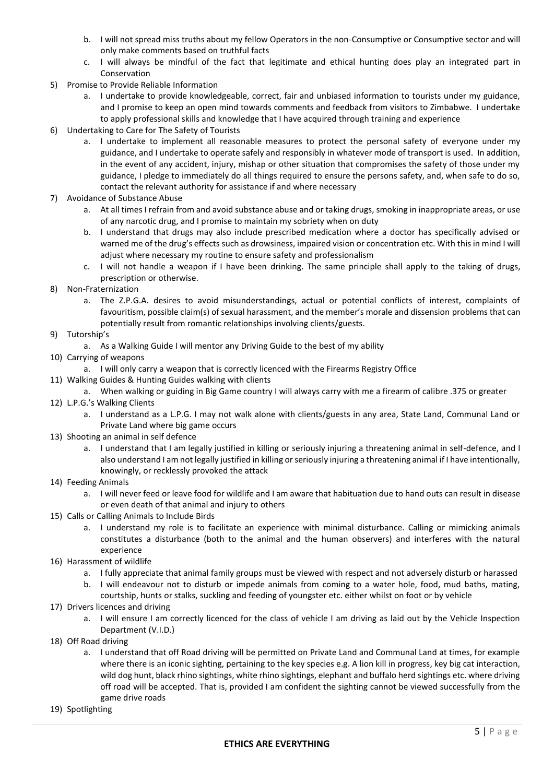- b. I will not spread miss truths about my fellow Operators in the non-Consumptive or Consumptive sector and will only make comments based on truthful facts
- c. I will always be mindful of the fact that legitimate and ethical hunting does play an integrated part in Conservation
- 5) Promise to Provide Reliable Information
	- a. I undertake to provide knowledgeable, correct, fair and unbiased information to tourists under my guidance, and I promise to keep an open mind towards comments and feedback from visitors to Zimbabwe. I undertake to apply professional skills and knowledge that I have acquired through training and experience
- 6) Undertaking to Care for The Safety of Tourists
	- a. I undertake to implement all reasonable measures to protect the personal safety of everyone under my guidance, and I undertake to operate safely and responsibly in whatever mode of transport is used. In addition, in the event of any accident, injury, mishap or other situation that compromises the safety of those under my guidance, I pledge to immediately do all things required to ensure the persons safety, and, when safe to do so, contact the relevant authority for assistance if and where necessary
- 7) Avoidance of Substance Abuse
	- a. At all times I refrain from and avoid substance abuse and or taking drugs, smoking in inappropriate areas, or use of any narcotic drug, and I promise to maintain my sobriety when on duty
	- b. I understand that drugs may also include prescribed medication where a doctor has specifically advised or warned me of the drug's effects such as drowsiness, impaired vision or concentration etc. With this in mind I will adjust where necessary my routine to ensure safety and professionalism
	- c. I will not handle a weapon if I have been drinking. The same principle shall apply to the taking of drugs, prescription or otherwise.
- 8) Non-Fraternization
	- a. The Z.P.G.A. desires to avoid misunderstandings, actual or potential conflicts of interest, complaints of favouritism, possible claim(s) of sexual harassment, and the member's morale and dissension problems that can potentially result from romantic relationships involving clients/guests.
- 9) Tutorship's
	- a. As a Walking Guide I will mentor any Driving Guide to the best of my ability
- 10) Carrying of weapons
	- a. I will only carry a weapon that is correctly licenced with the Firearms Registry Office
- 11) Walking Guides & Hunting Guides walking with clients
	- a. When walking or guiding in Big Game country I will always carry with me a firearm of calibre .375 or greater
- 12) L.P.G.'s Walking Clients
	- a. I understand as a L.P.G. I may not walk alone with clients/guests in any area, State Land, Communal Land or Private Land where big game occurs
- 13) Shooting an animal in self defence
	- a. I understand that I am legally justified in killing or seriously injuring a threatening animal in self-defence, and I also understand I am not legally justified in killing or seriously injuring a threatening animal if I have intentionally, knowingly, or recklessly provoked the attack
- 14) Feeding Animals
	- a. I will never feed or leave food for wildlife and I am aware that habituation due to hand outs can result in disease or even death of that animal and injury to others
- 15) Calls or Calling Animals to Include Birds
	- a. I understand my role is to facilitate an experience with minimal disturbance. Calling or mimicking animals constitutes a disturbance (both to the animal and the human observers) and interferes with the natural experience
- 16) Harassment of wildlife
	- a. I fully appreciate that animal family groups must be viewed with respect and not adversely disturb or harassed
	- b. I will endeavour not to disturb or impede animals from coming to a water hole, food, mud baths, mating, courtship, hunts or stalks, suckling and feeding of youngster etc. either whilst on foot or by vehicle
- 17) Drivers licences and driving
	- a. I will ensure I am correctly licenced for the class of vehicle I am driving as laid out by the Vehicle Inspection Department (V.I.D.)
- 18) Off Road driving
	- a. I understand that off Road driving will be permitted on Private Land and Communal Land at times, for example where there is an iconic sighting, pertaining to the key species e.g. A lion kill in progress, key big cat interaction, wild dog hunt, black rhino sightings, white rhino sightings, elephant and buffalo herd sightings etc. where driving off road will be accepted. That is, provided I am confident the sighting cannot be viewed successfully from the game drive roads
- 19) Spotlighting